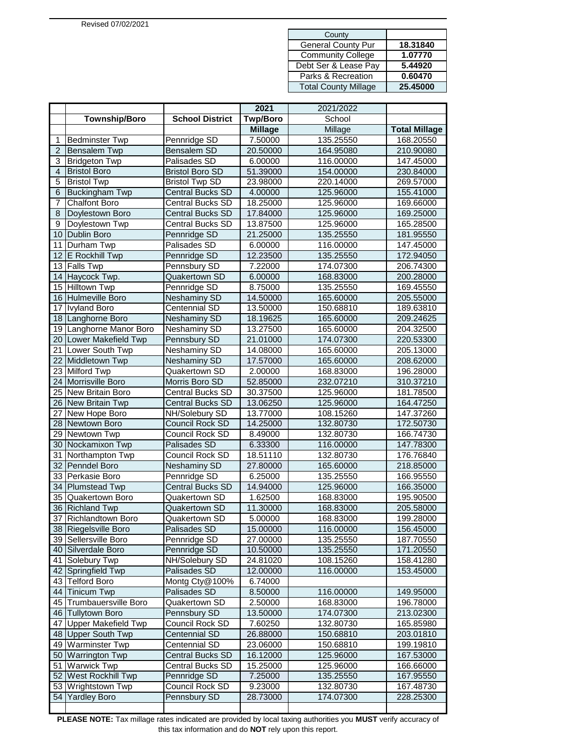| County                      |          |
|-----------------------------|----------|
| <b>General County Pur</b>   | 18.31840 |
| <b>Community College</b>    | 1.07770  |
| Debt Ser & Lease Pay        | 5.44920  |
| Parks & Recreation          | 0.60470  |
| <b>Total County Millage</b> | 25.45000 |

|                |                         |                         | 2021            | 2021/2022 |                      |
|----------------|-------------------------|-------------------------|-----------------|-----------|----------------------|
|                | <b>Township/Boro</b>    | <b>School District</b>  | <b>Twp/Boro</b> | School    |                      |
|                |                         |                         | <b>Millage</b>  | Millage   | <b>Total Millage</b> |
| 1              | <b>Bedminster Twp</b>   | Pennridge SD            | 7.50000         | 135.25550 | 168.20550            |
| $\overline{2}$ | <b>Bensalem Twp</b>     | Bensalem SD             | 20.50000        | 164.95080 | 210.90080            |
| 3              | <b>Bridgeton Twp</b>    | Palisades SD            | 6.00000         | 116.00000 | 147.45000            |
| 4              | <b>Bristol Boro</b>     | <b>Bristol Boro SD</b>  | 51.39000        | 154.00000 | 230.84000            |
| 5              | <b>Bristol Twp</b>      | <b>Bristol Twp SD</b>   | 23.98000        | 220.14000 | 269.57000            |
| 6              | <b>Buckingham Twp</b>   | <b>Central Bucks SD</b> | 4.00000         | 125.96000 | 155.41000            |
| 7              | <b>Chalfont Boro</b>    | Central Bucks SD        | 18.25000        | 125.96000 | 169.66000            |
| 8              | Doylestown Boro         | Central Bucks SD        | 17.84000        | 125.96000 | 169.25000            |
| 9              | Doylestown Twp          | Central Bucks SD        | 13.87500        | 125.96000 | 165.28500            |
| 10             | Dublin Boro             | Pennridge SD            | 21.25000        | 135.25550 | 181.95550            |
| 11             | Durham Twp              | Palisades SD            | 6.00000         | 116.00000 | 147.45000            |
| 12             | E Rockhill Twp          | Pennridge SD            | 12.23500        | 135.25550 | 172.94050            |
| 13             | <b>Falls Twp</b>        | Pennsbury SD            | 7.22000         | 174.07300 | 206.74300            |
| 14             | Haycock Twp.            | Quakertown SD           | 6.00000         | 168.83000 | 200.28000            |
|                | 15 Hilltown Twp         | Pennridge SD            | 8.75000         | 135.25550 | 169.45550            |
|                | 16 Hulmeville Boro      | Neshaminy SD            | 14.50000        | 165.60000 | 205.55000            |
| 17             | <b>Ivyland Boro</b>     | Centennial SD           | 13.50000        | 150.68810 | 189.63810            |
| 18             | Langhorne Boro          | Neshaminy SD            | 18.19625        | 165.60000 | 209.24625            |
|                | 19 Langhorne Manor Boro | Neshaminy SD            | 13.27500        | 165.60000 | 204.32500            |
|                | 20 Lower Makefield Twp  | Pennsbury SD            | 21.01000        | 174.07300 | 220.53300            |
| 21             | Lower South Twp         | Neshaminy SD            | 14.08000        | 165.60000 | 205.13000            |
| 22             | Middletown Twp          | <b>Neshaminy SD</b>     | 17.57000        | 165.60000 | 208.62000            |
| 23             | <b>Milford Twp</b>      | Quakertown SD           | 2.00000         | 168.83000 | 196.28000            |
| 24             | Morrisville Boro        | Morris Boro SD          | 52.85000        | 232.07210 | 310.37210            |
| 25             | <b>New Britain Boro</b> | Central Bucks SD        | 30.37500        | 125.96000 | 181.78500            |
| 26             | New Britain Twp         | Central Bucks SD        | 13.06250        | 125.96000 | 164.47250            |
| 27             | New Hope Boro           | NH/Solebury SD          | 13.77000        | 108.15260 | 147.37260            |
| 28             | Newtown Boro            | Council Rock SD         | 14.25000        | 132.80730 | 172.50730            |
| 29             | Newtown Twp             | Council Rock SD         | 8.49000         | 132.80730 | 166.74730            |
| 30             | Nockamixon Twp          | Palisades SD            | 6.33300         | 116.00000 | 147.78300            |
| 31             | Northampton Twp         | Council Rock SD         | 18.51110        | 132.80730 | 176.76840            |
| 32             | Penndel Boro            | Neshaminy SD            | 27.80000        | 165.60000 | 218.85000            |
| 33             | Perkasie Boro           | Pennridge SD            | 6.25000         | 135.25550 | 166.95550            |
| 34             | <b>Plumstead Twp</b>    | <b>Central Bucks SD</b> | 14.94000        | 125.96000 | 166.35000            |
|                | 35 Quakertown Boro      | Quakertown SD           | 1.62500         | 168.83000 | 195.90500            |
| 36             | <b>Richland Twp</b>     | Quakertown SD           | 11.30000        | 168.83000 | 205.58000            |
| 37             | Richlandtown Boro       | Quakertown SD           | 5.00000         | 168.83000 | 199.28000            |
|                | 38 Riegelsville Boro    | Palisades SD            | 15.00000        | 116.00000 | 156.45000            |
|                | 39 Sellersville Boro    | Pennridge SD            | 27.00000        | 135.25550 | 187.70550            |
|                | 40 Silverdale Boro      | Pennridge SD            | 10.50000        | 135.25550 | 171.20550            |
|                | 41 Solebury Twp         | NH/Solebury SD          | 24.81020        | 108.15260 | 158.41280            |
|                | 42 Springfield Twp      | Palisades SD            | 12.00000        | 116.00000 | 153.45000            |
|                | 43 Telford Boro         | Montg Cty@100%          | 6.74000         |           |                      |
|                | 44 Tinicum Twp          | Palisades SD            | 8.50000         | 116.00000 | 149.95000            |
|                | 45 Trumbauersville Boro | Quakertown SD           | 2.50000         | 168.83000 | 196.78000            |
|                | 46 Tullytown Boro       | Pennsbury SD            | 13.50000        | 174.07300 | 213.02300            |
|                | 47 Upper Makefield Twp  | Council Rock SD         | 7.60250         | 132.80730 | 165.85980            |
|                | 48 Upper South Twp      | Centennial SD           | 26.88000        | 150.68810 | 203.01810            |
|                | 49 Warminster Twp       | Centennial SD           | 23.06000        | 150.68810 | 199.19810            |
| 50             | <b>Warrington Twp</b>   | <b>Central Bucks SD</b> | 16.12000        | 125.96000 | 167.53000            |
| 51             | <b>Warwick Twp</b>      | Central Bucks SD        | 15.25000        | 125.96000 | 166.66000            |
| 52             | West Rockhill Twp       | Pennridge SD            | 7.25000         | 135.25550 | 167.95550            |
|                | 53 Wrightstown Twp      | Council Rock SD         | 9.23000         | 132.80730 | 167.48730            |
|                | 54 Yardley Boro         | Pennsbury SD            | 28.73000        | 174.07300 | 228.25300            |

**PLEASE NOTE:** Tax millage rates indicated are provided by local taxing authorities you **MUST** verify accuracy of this tax information and do **NOT** rely upon this report.